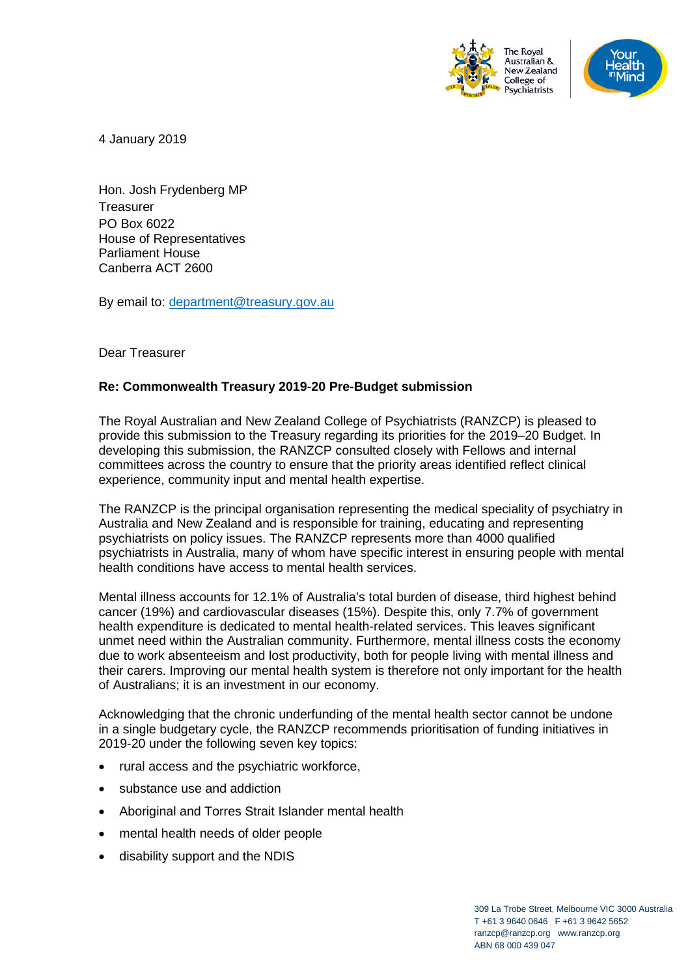

4 January 2019

Hon. Josh Frydenberg MP **Treasurer** PO Box 6022 House of Representatives Parliament House Canberra ACT 2600

By email to: [department@treasury.gov.au](mailto:department@treasury.gov.au)

Dear Treasurer

## **Re: Commonwealth Treasury 2019-20 Pre-Budget submission**

The Royal Australian and New Zealand College of Psychiatrists (RANZCP) is pleased to provide this submission to the Treasury regarding its priorities for the 2019–20 Budget. In developing this submission, the RANZCP consulted closely with Fellows and internal committees across the country to ensure that the priority areas identified reflect clinical experience, community input and mental health expertise.

The RANZCP is the principal organisation representing the medical speciality of psychiatry in Australia and New Zealand and is responsible for training, educating and representing psychiatrists on policy issues. The RANZCP represents more than 4000 qualified psychiatrists in Australia, many of whom have specific interest in ensuring people with mental health conditions have access to mental health services.

Mental illness accounts for 12.1% of Australia's total burden of disease, third highest behind cancer (19%) and cardiovascular diseases (15%). Despite this, only 7.7% of government health expenditure is dedicated to mental health-related services. This leaves significant unmet need within the Australian community. Furthermore, mental illness costs the economy due to work absenteeism and lost productivity, both for people living with mental illness and their carers. Improving our mental health system is therefore not only important for the health of Australians; it is an investment in our economy.

Acknowledging that the chronic underfunding of the mental health sector cannot be undone in a single budgetary cycle, the RANZCP recommends prioritisation of funding initiatives in 2019-20 under the following seven key topics:

- rural access and the psychiatric workforce,
- substance use and addiction
- Aboriginal and Torres Strait Islander mental health
- mental health needs of older people
- disability support and the NDIS